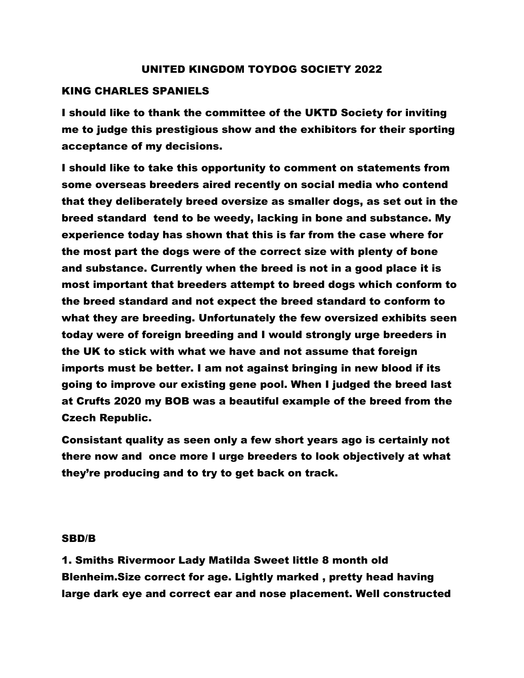#### UNITED KINGDOM TOYDOG SOCIETY 2022

#### KING CHARLES SPANIELS

I should like to thank the committee of the UKTD Society for inviting me to judge this prestigious show and the exhibitors for their sporting acceptance of my decisions.

I should like to take this opportunity to comment on statements from some overseas breeders aired recently on social media who contend that they deliberately breed oversize as smaller dogs, as set out in the breed standard tend to be weedy, lacking in bone and substance. My experience today has shown that this is far from the case where for the most part the dogs were of the correct size with plenty of bone and substance. Currently when the breed is not in a good place it is most important that breeders attempt to breed dogs which conform to the breed standard and not expect the breed standard to conform to what they are breeding. Unfortunately the few oversized exhibits seen today were of foreign breeding and I would strongly urge breeders in the UK to stick with what we have and not assume that foreign imports must be better. I am not against bringing in new blood if its going to improve our existing gene pool. When I judged the breed last at Crufts 2020 my BOB was a beautiful example of the breed from the Czech Republic.

Consistant quality as seen only a few short years ago is certainly not there now and once more I urge breeders to look objectively at what they're producing and to try to get back on track.

#### SBD/B

1. Smiths Rivermoor Lady Matilda Sweet little 8 month old Blenheim.Size correct for age. Lightly marked , pretty head having large dark eye and correct ear and nose placement. Well constructed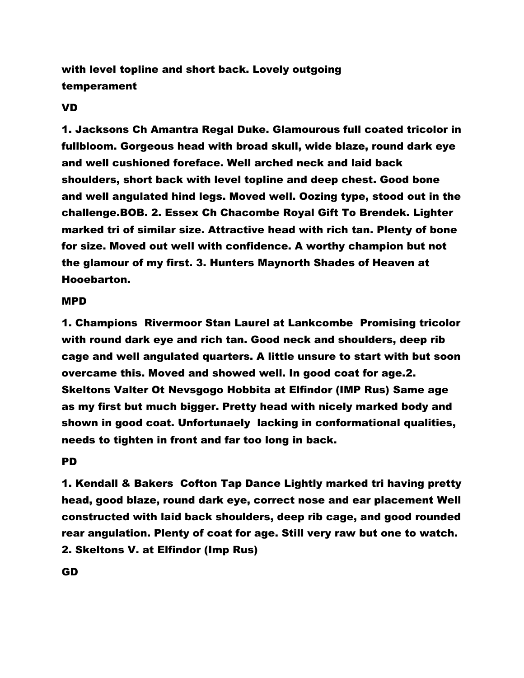with level topline and short back. Lovely outgoing temperament

# VD

1. Jacksons Ch Amantra Regal Duke. Glamourous full coated tricolor in fullbloom. Gorgeous head with broad skull, wide blaze, round dark eye and well cushioned foreface. Well arched neck and laid back shoulders, short back with level topline and deep chest. Good bone and well angulated hind legs. Moved well. Oozing type, stood out in the challenge.BOB. 2. Essex Ch Chacombe Royal Gift To Brendek. Lighter marked tri of similar size. Attractive head with rich tan. Plenty of bone for size. Moved out well with confidence. A worthy champion but not the glamour of my first. 3. Hunters Maynorth Shades of Heaven at Hooebarton.

# MPD

1. Champions Rivermoor Stan Laurel at Lankcombe Promising tricolor with round dark eye and rich tan. Good neck and shoulders, deep rib cage and well angulated quarters. A little unsure to start with but soon overcame this. Moved and showed well. In good coat for age.2. Skeltons Valter Ot Nevsgogo Hobbita at Elfindor (IMP Rus) Same age as my first but much bigger. Pretty head with nicely marked body and shown in good coat. Unfortunaely lacking in conformational qualities, needs to tighten in front and far too long in back.

# PD

1. Kendall & Bakers Cofton Tap Dance Lightly marked tri having pretty head, good blaze, round dark eye, correct nose and ear placement Well constructed with laid back shoulders, deep rib cage, and good rounded rear angulation. Plenty of coat for age. Still very raw but one to watch. 2. Skeltons V. at Elfindor (Imp Rus)

GD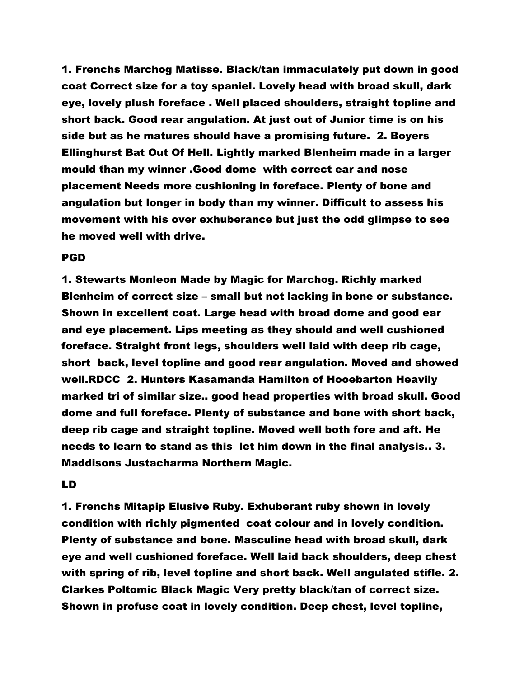1. Frenchs Marchog Matisse. Black/tan immaculately put down in good coat Correct size for a toy spaniel. Lovely head with broad skull, dark eye, lovely plush foreface . Well placed shoulders, straight topline and short back. Good rear angulation. At just out of Junior time is on his side but as he matures should have a promising future. 2. Boyers Ellinghurst Bat Out Of Hell. Lightly marked Blenheim made in a larger mould than my winner .Good dome with correct ear and nose placement Needs more cushioning in foreface. Plenty of bone and angulation but longer in body than my winner. Difficult to assess his movement with his over exhuberance but just the odd glimpse to see he moved well with drive.

#### PGD

1. Stewarts Monleon Made by Magic for Marchog. Richly marked Blenheim of correct size – small but not lacking in bone or substance. Shown in excellent coat. Large head with broad dome and good ear and eye placement. Lips meeting as they should and well cushioned foreface. Straight front legs, shoulders well laid with deep rib cage, short back, level topline and good rear angulation. Moved and showed well.RDCC 2. Hunters Kasamanda Hamilton of Hooebarton Heavily marked tri of similar size.. good head properties with broad skull. Good dome and full foreface. Plenty of substance and bone with short back, deep rib cage and straight topline. Moved well both fore and aft. He needs to learn to stand as this let him down in the final analysis.. 3. Maddisons Justacharma Northern Magic.

#### LD

1. Frenchs Mitapip Elusive Ruby. Exhuberant ruby shown in lovely condition with richly pigmented coat colour and in lovely condition. Plenty of substance and bone. Masculine head with broad skull, dark eye and well cushioned foreface. Well laid back shoulders, deep chest with spring of rib, level topline and short back. Well angulated stifle. 2. Clarkes Poltomic Black Magic Very pretty black/tan of correct size. Shown in profuse coat in lovely condition. Deep chest, level topline,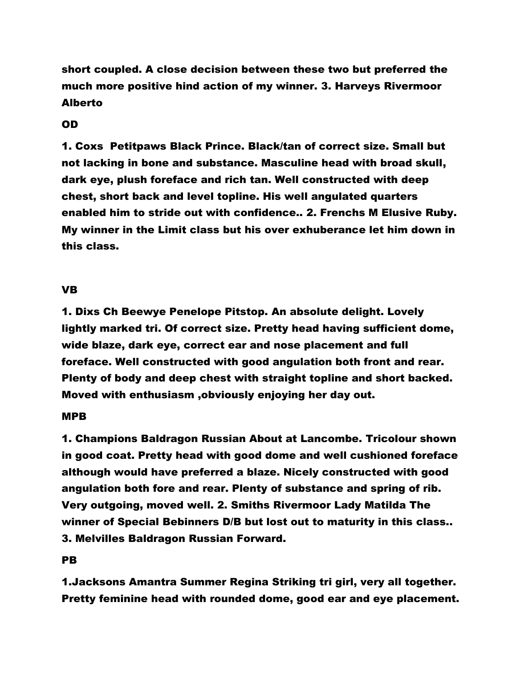short coupled. A close decision between these two but preferred the much more positive hind action of my winner. 3. Harveys Rivermoor Alberto

# OD

1. Coxs Petitpaws Black Prince. Black/tan of correct size. Small but not lacking in bone and substance. Masculine head with broad skull, dark eye, plush foreface and rich tan. Well constructed with deep chest, short back and level topline. His well angulated quarters enabled him to stride out with confidence.. 2. Frenchs M Elusive Ruby. My winner in the Limit class but his over exhuberance let him down in this class.

# VB

1. Dixs Ch Beewye Penelope Pitstop. An absolute delight. Lovely lightly marked tri. Of correct size. Pretty head having sufficient dome, wide blaze, dark eye, correct ear and nose placement and full foreface. Well constructed with good angulation both front and rear. Plenty of body and deep chest with straight topline and short backed. Moved with enthusiasm ,obviously enjoying her day out.

## MPB

1. Champions Baldragon Russian About at Lancombe. Tricolour shown in good coat. Pretty head with good dome and well cushioned foreface although would have preferred a blaze. Nicely constructed with good angulation both fore and rear. Plenty of substance and spring of rib. Very outgoing, moved well. 2. Smiths Rivermoor Lady Matilda The winner of Special Bebinners D/B but lost out to maturity in this class.. 3. Melvilles Baldragon Russian Forward.

# PB

1.Jacksons Amantra Summer Regina Striking tri girl, very all together. Pretty feminine head with rounded dome, good ear and eye placement.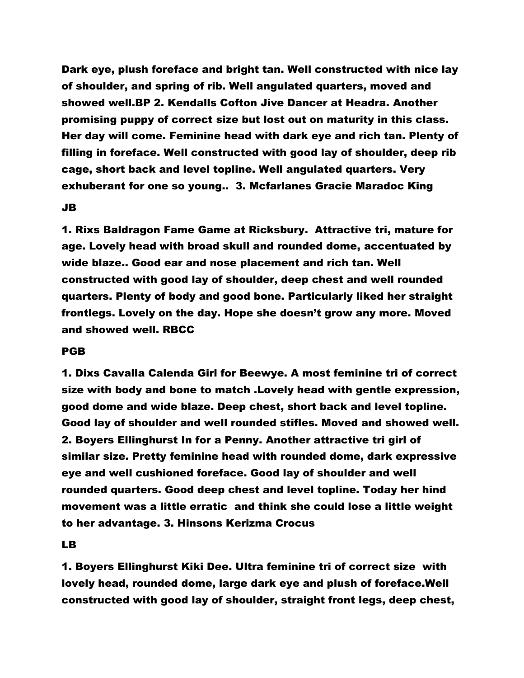Dark eye, plush foreface and bright tan. Well constructed with nice lay of shoulder, and spring of rib. Well angulated quarters, moved and showed well.BP 2. Kendalls Cofton Jive Dancer at Headra. Another promising puppy of correct size but lost out on maturity in this class. Her day will come. Feminine head with dark eye and rich tan. Plenty of filling in foreface. Well constructed with good lay of shoulder, deep rib cage, short back and level topline. Well angulated quarters. Very exhuberant for one so young.. 3. Mcfarlanes Gracie Maradoc King

# JB

1. Rixs Baldragon Fame Game at Ricksbury. Attractive tri, mature for age. Lovely head with broad skull and rounded dome, accentuated by wide blaze.. Good ear and nose placement and rich tan. Well constructed with good lay of shoulder, deep chest and well rounded quarters. Plenty of body and good bone. Particularly liked her straight frontlegs. Lovely on the day. Hope she doesn't grow any more. Moved and showed well. RBCC

## PGB

1. Dixs Cavalla Calenda Girl for Beewye. A most feminine tri of correct size with body and bone to match .Lovely head with gentle expression, good dome and wide blaze. Deep chest, short back and level topline. Good lay of shoulder and well rounded stifles. Moved and showed well. 2. Boyers Ellinghurst In for a Penny. Another attractive tri girl of similar size. Pretty feminine head with rounded dome, dark expressive eye and well cushioned foreface. Good lay of shoulder and well rounded quarters. Good deep chest and level topline. Today her hind movement was a little erratic and think she could lose a little weight to her advantage. 3. Hinsons Kerizma Crocus

# LB

1. Boyers Ellinghurst Kiki Dee. Ultra feminine tri of correct size with lovely head, rounded dome, large dark eye and plush of foreface.Well constructed with good lay of shoulder, straight front legs, deep chest,